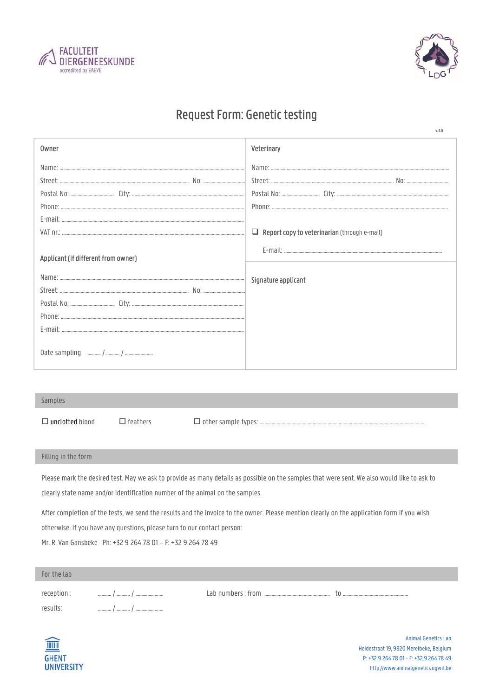



 $v.6.0$ 

## **Request Form: Genetic testing**

| Owner                               | Veterinary                                          |
|-------------------------------------|-----------------------------------------------------|
|                                     |                                                     |
|                                     |                                                     |
|                                     |                                                     |
|                                     |                                                     |
|                                     |                                                     |
|                                     | $\Box$ Report copy to veterinarian (through e-mail) |
| Applicant (if different from owner) |                                                     |
|                                     | Signature applicant                                 |
|                                     |                                                     |
|                                     |                                                     |
|                                     |                                                     |
|                                     |                                                     |
|                                     |                                                     |

## Samples

 $\Box$  unclotted blood

 $\Box$  feathers

 $\Box$  other sample types: .

## Filling in the form

Please mark the desired test. May we ask to provide as many details as possible on the samples that were sent. We also would like to ask to clearly state name and/or identification number of the animal on the samples.

After completion of the tests, we send the results and the invoice to the owner. Please mention clearly on the application form if you wish otherwise. If you have any questions, please turn to our contact person:

Mr. R. Van Gansbeke Ph: +32 9 264 78 01 - F: +32 9 264 78 49

| For the lab |          |  |
|-------------|----------|--|
| reception : | <br>     |  |
| results:    | <br><br> |  |
|             |          |  |



Animal Genetics Lab Heidestraat 19, 9820 Merelbeke, Belgium P: +32 9 264 78 01 - F: +32 9 264 78 49 http://www.animalgenetics.ugent.be